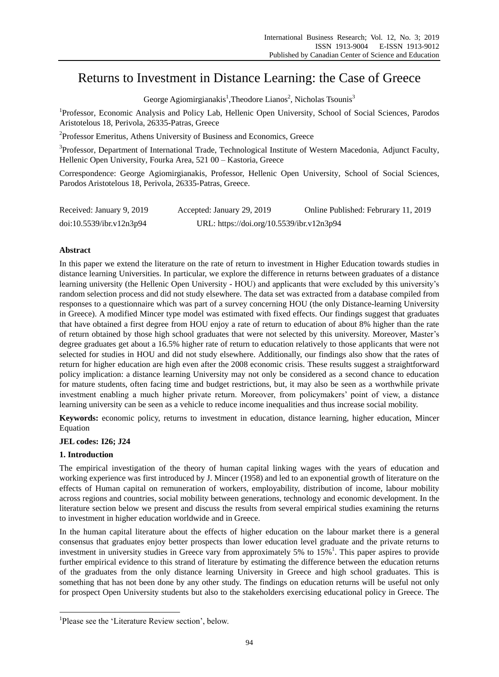# Returns to Investment in Distance Learning: the Case of Greece

George Agiomirgianakis<sup>1</sup>, Theodore Lianos<sup>2</sup>, Nicholas Tsounis<sup>3</sup>

<sup>1</sup>Professor, Economic Analysis and Policy Lab, Hellenic Open University, School of Social Sciences, Parodos Aristotelous 18, Perivola, 26335-Patras, Greece

<sup>2</sup>Professor Emeritus, Athens University of Business and Economics, Greece

<sup>3</sup>Professor, Department of International Trade, Technological Institute of Western Macedonia, Adjunct Faculty, Hellenic Open University, Fourka Area, 521 00 – Kastoria, Greece

Correspondence: George Agiomirgianakis, Professor, Hellenic Open University, School of Social Sciences, Parodos Aristotelous 18, Perivola, 26335-Patras, Greece.

| Received: January 9, 2019 | Accepted: January 29, 2019                | Online Published: Februrary 11, 2019 |
|---------------------------|-------------------------------------------|--------------------------------------|
| doi:10.5539/ibr.v12n3p94  | URL: https://doi.org/10.5539/ibr.v12n3p94 |                                      |

# **Abstract**

In this paper we extend the literature on the rate of return to investment in Higher Education towards studies in distance learning Universities. In particular, we explore the difference in returns between graduates of a distance learning university (the Hellenic Open University - HOU) and applicants that were excluded by this university"s random selection process and did not study elsewhere. The data set was extracted from a database compiled from responses to a questionnaire which was part of a survey concerning HOU (the only Distance-learning University in Greece). A modified Mincer type model was estimated with fixed effects. Our findings suggest that graduates that have obtained a first degree from HOU enjoy a rate of return to education of about 8% higher than the rate of return obtained by those high school graduates that were not selected by this university. Moreover, Master"s degree graduates get about a 16.5% higher rate of return to education relatively to those applicants that were not selected for studies in HOU and did not study elsewhere. Additionally, our findings also show that the rates of return for higher education are high even after the 2008 economic crisis. These results suggest a straightforward policy implication: a distance learning University may not only be considered as a second chance to education for mature students, often facing time and budget restrictions, but, it may also be seen as a worthwhile private investment enabling a much higher private return. Moreover, from policymakers' point of view, a distance learning university can be seen as a vehicle to reduce income inequalities and thus increase social mobility.

**Keywords:** economic policy, returns to investment in education, distance learning, higher education, Mincer Equation

# **JEL codes: I26; J24**

# **1. Introduction**

-

The empirical investigation of the theory of human capital linking wages with the years of education and working experience was first introduced by J. Mincer (1958) and led to an exponential growth of literature on the effects of Human capital on remuneration of workers, employability, distribution of income, labour mobility across regions and countries, social mobility between generations, technology and economic development. In the literature section below we present and discuss the results from several empirical studies examining the returns to investment in higher education worldwide and in Greece.

In the human capital literature about the effects of higher education on the labour market there is a general consensus that graduates enjoy better prospects than lower education level graduate and the private returns to investment in university studies in Greece vary from approximately 5% to 15%<sup>1</sup>. This paper aspires to provide further empirical evidence to this strand of literature by estimating the difference between the education returns of the graduates from the only distance learning University in Greece and high school graduates. This is something that has not been done by any other study. The findings on education returns will be useful not only for prospect Open University students but also to the stakeholders exercising educational policy in Greece. The

<sup>&</sup>lt;sup>1</sup>Please see the 'Literature Review section', below.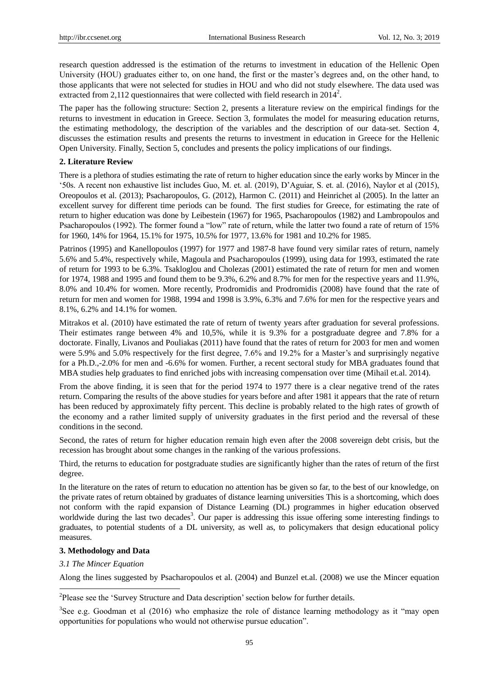research question addressed is the estimation of the returns to investment in education of the Hellenic Open University (HOU) graduates either to, on one hand, the first or the master's degrees and, on the other hand, to those applicants that were not selected for studies in HOU and who did not study elsewhere. The data used was extracted from 2,112 questionnaires that were collected with field research in  $2014^2$ .

The paper has the following structure: Section 2, presents a literature review on the empirical findings for the returns to investment in education in Greece. Section 3, formulates the model for measuring education returns, the estimating methodology, the description of the variables and the description of our data-set. Section 4, discusses the estimation results and presents the returns to investment in education in Greece for the Hellenic Open University. Finally, Section 5, concludes and presents the policy implications of our findings.

#### **2. Literature Review**

There is a plethora of studies estimating the rate of return to higher education since the early works by Mincer in the "50s. A recent non exhaustive list includes Guo, M. et. al. (2019), D"Aguiar, S. et. al. (2016), Naylor et al (2015), Oreopoulos et al. (2013); Psacharopoulos, G. (2012), Harmon C. (2011) and Heinrichet al (2005). In the latter an excellent survey for different time periods can be found. The first studies for Greece, for estimating the rate of return to higher education was done by Leibestein (1967) for 1965, Psacharopoulos (1982) and Lambropoulos and Psacharopoulos (1992). The former found a "low" rate of return, while the latter two found a rate of return of 15% for 1960, 14% for 1964, 15.1% for 1975, 10.5% for 1977, 13.6% for 1981 and 10.2% for 1985.

Patrinos (1995) and Kanellopoulos (1997) for 1977 and 1987-8 have found very similar rates of return, namely 5.6% and 5.4%, respectively while, Magoula and Psacharopoulos (1999), using data for 1993, estimated the rate of return for 1993 to be 6.3%. Tsakloglou and Cholezas (2001) estimated the rate of return for men and women for 1974, 1988 and 1995 and found them to be 9.3%, 6.2% and 8.7% for men for the respective years and 11.9%, 8.0% and 10.4% for women. More recently, Prodromidis and Prodromidis (2008) have found that the rate of return for men and women for 1988, 1994 and 1998 is 3.9%, 6.3% and 7.6% for men for the respective years and 8.1%, 6.2% and 14.1% for women.

Mitrakos et al. (2010) have estimated the rate of return of twenty years after graduation for several professions. Their estimates range between 4% and 10,5%, while it is 9.3% for a postgraduate degree and 7.8% for a doctorate. Finally, Livanos and Pouliakas (2011) have found that the rates of return for 2003 for men and women were 5.9% and 5.0% respectively for the first degree, 7.6% and 19.2% for a Master"s and surprisingly negative for a Ph.D.,-2.0% for men and -6.6% for women. Further, a recent sectoral study for MBA graduates found that MBA studies help graduates to find enriched jobs with increasing compensation over time (Mihail et.al. 2014).

From the above finding, it is seen that for the period 1974 to 1977 there is a clear negative trend of the rates return. Comparing the results of the above studies for years before and after 1981 it appears that the rate of return has been reduced by approximately fifty percent. This decline is probably related to the high rates of growth of the economy and a rather limited supply of university graduates in the first period and the reversal of these conditions in the second.

Second, the rates of return for higher education remain high even after the 2008 sovereign debt crisis, but the recession has brought about some changes in the ranking of the various professions.

Third, the returns to education for postgraduate studies are significantly higher than the rates of return of the first degree.

In the literature on the rates of return to education no attention has be given so far, to the best of our knowledge, on the private rates of return obtained by graduates of distance learning universities This is a shortcoming, which does not conform with the rapid expansion of Distance Learning (DL) programmes in higher education observed worldwide during the last two decades<sup>3</sup>. Our paper is addressing this issue offering some interesting findings to graduates, to potential students of a DL university, as well as, to policymakers that design educational policy measures.

#### **3. Methodology and Data**

#### *3.1 The Mincer Equation*

-

Along the lines suggested by Psacharopoulos et al. (2004) and Bunzel et.al. (2008) we use the Mincer equation

<sup>&</sup>lt;sup>2</sup>Please see the 'Survey Structure and Data description' section below for further details.

 $3$ See e.g. Goodman et al (2016) who emphasize the role of distance learning methodology as it "may open opportunities for populations who would not otherwise pursue education".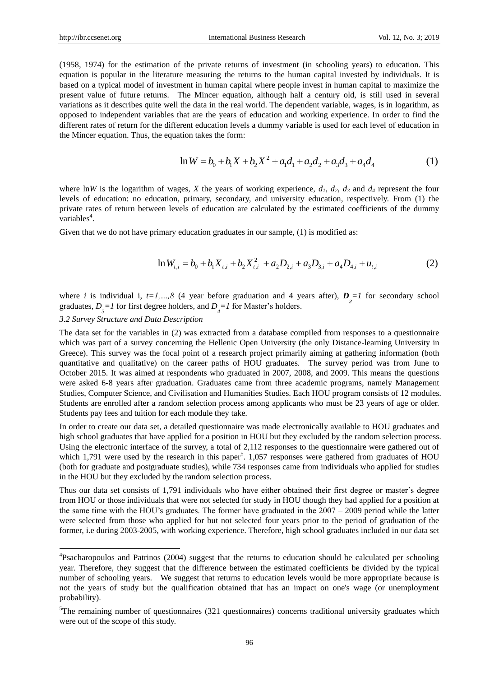(1958, 1974) for the estimation of the private returns of investment (in schooling years) to education. This equation is popular in the literature measuring the returns to the human capital invested by individuals. It is based on a typical model of investment in human capital where people invest in human capital to maximize the present value of future returns. The Mincer equation, although half a century old, is still used in several variations as it describes quite well the data in the real world. The dependent variable, wages, is in logarithm, as opposed to independent variables that are the years of education and working experience. In order to find the different rates of return for the different education levels a dummy variable is used for each level of education in the Mincer equation. Thus, the equation takes the form: tion takes the form:<br>  $\ln W = b_0 + b_1 X + b_2 X^2 + a_1 d_1 + a_2 d_2 + a_3 d_3 + a_4 d_4$  (1)

$$
\ln W = b_0 + b_1 X + b_2 X^2 + a_1 d_1 + a_2 d_2 + a_3 d_3 + a_4 d_4 \tag{1}
$$

where lnW is the logarithm of wages, *X* the years of working experience,  $d_1$ ,  $d_2$ ,  $d_3$  and  $d_4$  represent the four levels of education: no education, primary, secondary, and university education, respectively. From (1) the private rates of return between levels of education are calculated by the estimated coefficients of the dummy variables<sup>4</sup>.

Given that we do not have primary education graduates in our sample, (1) is modified as:

$$
\ln W_{t,i} = b_0 + b_1 X_{t,i} + b_2 X_{t,i}^2 + a_2 D_{2,i} + a_3 D_{3,i} + a_4 D_{4,i} + u_{t,i}
$$
 (2)

where *i* is individual i,  $t=1,...,8$  (4 year before graduation and 4 years after),  $D_2=1$  for secondary school graduates,  $D_{\hat{J}} = I$  for first degree holders, and  $D_{\hat{J}} = I$  for Master's holders.

#### *3.2 Survey Structure and Data Description*

-

The data set for the variables in (2) was extracted from a database compiled from responses to a questionnaire which was part of a survey concerning the Hellenic Open University (the only Distance-learning University in Greece). This survey was the focal point of a research project primarily aiming at gathering information (both quantitative and qualitative) on the career paths of HOU graduates. The survey period was from June to October 2015. It was aimed at respondents who graduated in 2007, 2008, and 2009. This means the questions were asked 6-8 years after graduation. Graduates came from three academic programs, namely Management Studies, Computer Science, and Civilisation and Humanities Studies. Each HOU program consists of 12 modules. Students are enrolled after a random selection process among applicants who must be 23 years of age or older. Students pay fees and tuition for each module they take. **Example 2 International Hustiness Research**<br> **Configure 2 Example 2 Configure 2 Configure 2 Configure 2 Configure 2 Configure 2 Configure 2 Configure 2 Configure 2 Configure 2 Configure 2 Config** 

In order to create our data set, a detailed questionnaire was made electronically available to HOU graduates and high school graduates that have applied for a position in HOU but they excluded by the random selection process. Using the electronic interface of the survey, a total of 2,112 responses to the questionnaire were gathered out of which 1,791 were used by the research in this paper<sup>5</sup>.  $1,057$  responses were gathered from graduates of HOU (both for graduate and postgraduate studies), while 734 responses came from individuals who applied for studies in the HOU but they excluded by the random selection process.

Thus our data set consists of 1,791 individuals who have either obtained their first degree or master's degree from HOU or those individuals that were not selected for study in HOU though they had applied for a position at the same time with the HOU's graduates. The former have graduated in the  $2007 - 2009$  period while the latter were selected from those who applied for but not selected four years prior to the period of graduation of the former, i.e during 2003-2005, with working experience. Therefore, high school graduates included in our data set

<sup>&</sup>lt;sup>4</sup>Psacharopoulos and Patrinos (2004) suggest that the returns to education should be calculated per schooling year. Therefore, they suggest that the difference between the estimated coefficients be divided by the typical number of schooling years. We suggest that returns to education levels would be more appropriate because is not the years of study but the qualification obtained that has an impact on one's wage (or unemployment probability).

<sup>&</sup>lt;sup>5</sup>The remaining number of questionnaires (321 questionnaires) concerns traditional university graduates which were out of the scope of this study.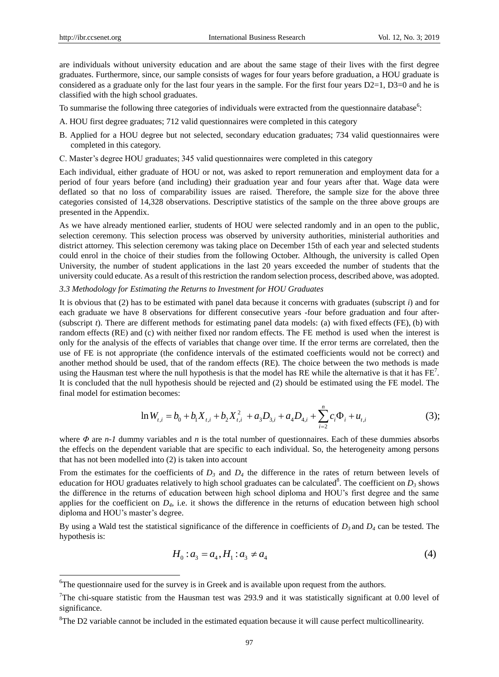-

are individuals without university education and are about the same stage of their lives with the first degree graduates. Furthermore, since, our sample consists of wages for four years before graduation, a HOU graduate is considered as a graduate only for the last four years in the sample. For the first four years  $D2=1$ ,  $D3=0$  and he is classified with the high school graduates.

To summarise the following three categories of individuals were extracted from the questionnaire database<sup>6</sup>:

- A. HOU first degree graduates; 712 valid questionnaires were completed in this category
- B. Applied for a HOU degree but not selected, secondary education graduates; 734 valid questionnaires were completed in this category.
- C. Master"s degree HOU graduates; 345 valid questionnaires were completed in this category

Each individual, either graduate of HOU or not, was asked to report remuneration and employment data for a period of four years before (and including) their graduation year and four years after that. Wage data were deflated so that no loss of comparability issues are raised. Therefore, the sample size for the above three categories consisted of 14,328 observations. Descriptive statistics of the sample on the three above groups are presented in the Appendix.

As we have already mentioned earlier, students of HOU were selected randomly and in an open to the public, selection ceremony. This selection process was observed by university authorities, ministerial authorities and district attorney. This selection ceremony was taking place on December 15th of each year and selected students could enrol in the choice of their studies from the following October. Although, the university is called Open University, the number of student applications in the last 20 years exceeded the number of students that the university could educate. As a result of this restriction the random selection process, described above, was adopted.

#### *3.3 Methodology for Estimating the Returns to Investment for HOU Graduates*

It is obvious that (2) has to be estimated with panel data because it concerns with graduates (subscript *i*) and for each graduate we have 8 observations for different consecutive years -four before graduation and four after- (subscript *t*). There are different methods for estimating panel data models: (a) with fixed effects (FE), (b) with random effects (RΕ) and (c) with neither fixed nor random effects. The FE method is used when the interest is only for the analysis of the effects of variables that change over time. If the error terms are correlated, then the use of FE is not appropriate (the confidence intervals of the estimated coefficients would not be correct) and another method should be used, that of the random effects (RE). The choice between the two methods is made using the Hausman test where the null hypothesis is that the model has RE while the alternative is that it has  $FE<sup>7</sup>$ . It is concluded that the null hypothesis should be rejected and (2) should be estimated using the FE model. The final model for estimation becomes: International Bariness Research Wol. 1<br>
risity education and are about the same stage of their lives with the<br>
or our sample consists of wages for four years hefore graduation, a HOI<br>
for the last four years in the sample Examinant Business Bearers.<br>
We are the system of the system of the system of the system of the system of the system of the system of the system of the system of the system of the system of the system of the system of the **International Fluxiness Research**<br> **toward Example consists of weiges of their lives with the form of the symple consists of wages for four years before graduation, a HOU type of the last four years in the sample. For th Examined Trainmar Research**<br> **We have the set of the set of the set of the set of the set of the set of the set of the set of the set of the set of the set of the set of the set of the set of the set of the set of the se Entrained Boshma Research**<br>
Solution School (3) and the same single of their lines with the first degree<br>
in various complete consists of sough time lines (see the relation of the system of various complete consistent th

$$
\ln W_{t,i} = b_0 + b_1 X_{t,i} + b_2 X_{t,i}^2 + a_3 D_{3,i} + a_4 D_{4,i} + \sum_{i=2}^n c_i \Phi_i + u_{t,i}
$$
 (3);

where *Φ* are *n-1* dummy variables and *n* is the total number of questionnaires. Each of these dummies absorbs the effects on the dependent variable that are specific to each individual. So, the heterogeneity among persons that has not been modelled into (2) is taken into account

From the estimates for the coefficients of  $D_3$  and  $D_4$  the difference in the rates of return between levels of education for HOU graduates relatively to high school graduates can be calculated<sup>8</sup>. The coefficient on  $D_3$  shows the difference in the returns of education between high school diploma and HOU"s first degree and the same applies for the coefficient on  $D_4$ , i.e. it shows the difference in the returns of education between high school diploma and HOU's master's degree.  $b_0 + b_1 X_{t,i} + b_2 X_{t,i}^2 + a_3 D_{3,i} + a_4 D_{4,i} + \sum_{i=2} c_i \Phi_i + u_{t,i}$  (3)<br>
as and *n* is the total number of questionnaires. Each of these dummies absorb<br>
able that are specific to each individual. So, the heterogeneity among pe

By using a Wald test the statistical significance of the difference in coefficients of *D3* and *D<sup>4</sup>* can be tested. The hypothesis is:

$$
H_0: a_3 = a_4, H_1: a_3 \neq a_4 \tag{4}
$$

<sup>&</sup>lt;sup>6</sup>The questionnaire used for the survey is in Greek and is available upon request from the authors.

<sup>&</sup>lt;sup>7</sup>The chi-square statistic from the Hausman test was 293.9 and it was statistically significant at 0.00 level of significance.

<sup>&</sup>lt;sup>8</sup>The D2 variable cannot be included in the estimated equation because it will cause perfect multicollinearity.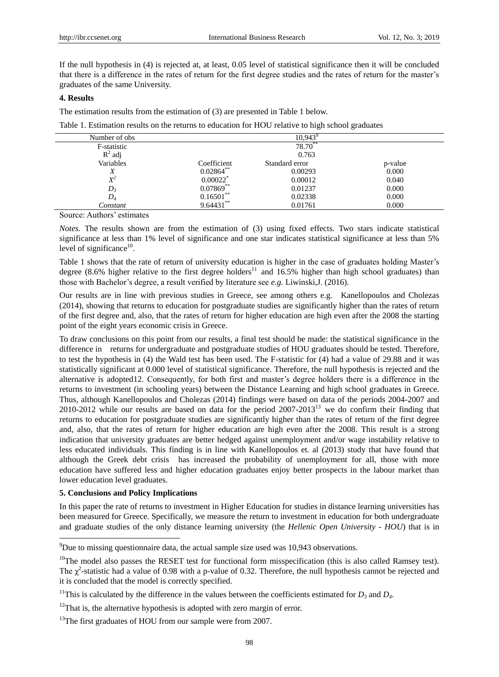If the null hypothesis in (4) is rejected at, at least, 0.05 level of statistical significance then it will be concluded that there is a difference in the rates of return for the first degree studies and the rates of return for the master"s graduates of the same University.

## **4. Results**

The estimation results from the estimation of (3) are presented in Table 1 below.

Table 1. Estimation results on the returns to education for HOU relative to high school graduates

| Number of obs |              | 10.943         |         |
|---------------|--------------|----------------|---------|
| F-statistic   | 78.70**      |                |         |
| $R^2$ adj     | 0.763        |                |         |
| Variables     | Coefficient  | Standard error | p-value |
| л             | $0.02864$ ** | 0.00293        | 0.000   |
| $X^2$         | 0.00022      | 0.00012        | 0.040   |
| $D_3$         | $0.07869**$  | 0.01237        | 0.000   |
| $D_4$         | 0.16501      | 0.02338        | 0.000   |
| Constant      | 9.64431      | 0.01761        | 0.000   |

Source: Authors' estimates

*Notes.* The results shown are from the estimation of (3) using fixed effects. Two stars indicate statistical significance at less than 1% level of significance and one star indicates statistical significance at less than 5% level of significance<sup>10</sup>.

Table 1 shows that the rate of return of university education is higher in the case of graduates holding Master's degree (8.6% higher relative to the first degree holders<sup>11</sup> and 16.5% higher than high school graduates) than those with Bachelor"s degree, a result verified by literature see *e.g.* Liwinski,J. (2016).

Our results are in line with previous studies in Greece, see among others e.g. Kanellopoulos and Cholezas (2014), showing that returns to education for postgraduate studies are significantly higher than the rates of return of the first degree and, also, that the rates of return for higher education are high even after the 2008 the starting point of the eight years economic crisis in Greece.

To draw conclusions on this point from our results, a final test should be made: the statistical significance in the difference in returns for undergraduate and postgraduate studies of HOU graduates should be tested. Therefore, to test the hypothesis in (4) the Wald test has been used. The F-statistic for (4) had a value of 29.88 and it was statistically significant at 0.000 level of statistical significance. Therefore, the null hypothesis is rejected and the alternative is adopted12. Consequently, for both first and master"s degree holders there is a difference in the returns to investment (in schooling years) between the Distance Learning and high school graduates in Greece. Thus, although Kanellopoulos and Cholezas (2014) findings were based on data of the periods 2004-2007 and 2010-2012 while our results are based on data for the period  $2007-2013^{13}$  we do confirm their finding that returns to education for postgraduate studies are significantly higher than the rates of return of the first degree and, also, that the rates of return for higher education are high even after the 2008. This result is a strong indication that university graduates are better hedged against unemployment and/or wage instability relative to less educated individuals. This finding is in line with Kanellopoulos et. al (2013) study that have found that although the Greek debt crisis has increased the probability of unemployment for all, those with more education have suffered less and higher education graduates enjoy better prospects in the labour market than lower education level graduates.

## **5. Conclusions and Policy Implications**

-

In this paper the rate of returns to investment in Higher Education for studies in distance learning universities has been measured for Greece. Specifically, we measure the return to investment in education for both undergraduate and graduate studies of the only distance learning university (the *Hellenic Open University - HOU*) that is in

 $^{9}$ Due to missing questionnaire data, the actual sample size used was 10,943 observations.

<sup>&</sup>lt;sup>10</sup>The model also passes the RESET test for functional form misspecification (this is also called Ramsey test). The  $\chi^2$ -statistic had a value of 0.98 with a p-value of 0.32. Therefore, the null hypothesis cannot be rejected and it is concluded that the model is correctly specified.

<sup>&</sup>lt;sup>11</sup>This is calculated by the difference in the values between the coefficients estimated for  $D_3$  and  $D_4$ .

 $12$ That is, the alternative hypothesis is adopted with zero margin of error.

<sup>&</sup>lt;sup>13</sup>The first graduates of HOU from our sample were from 2007.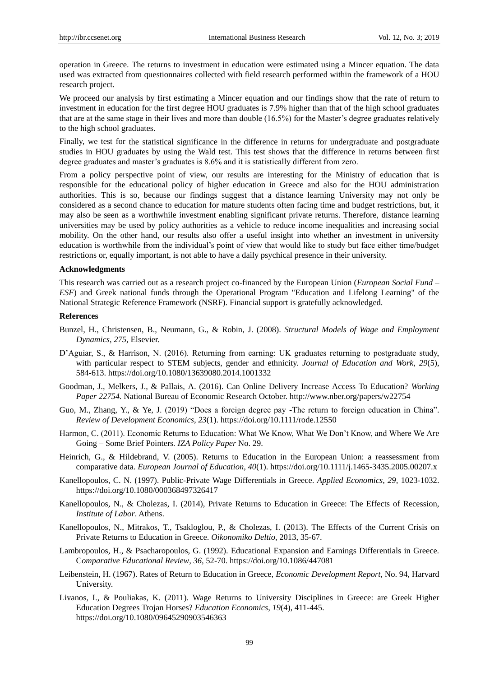operation in Greece. The returns to investment in education were estimated using a Mincer equation. The data used was extracted from questionnaires collected with field research performed within the framework of a HOU research project.

We proceed our analysis by first estimating a Mincer equation and our findings show that the rate of return to investment in education for the first degree HOU graduates is 7.9% higher than that of the high school graduates that are at the same stage in their lives and more than double  $(16.5%)$  for the Master's degree graduates relatively to the high school graduates.

Finally, we test for the statistical significance in the difference in returns for undergraduate and postgraduate studies in HOU graduates by using the Wald test. This test shows that the difference in returns between first degree graduates and master"s graduates is 8.6% and it is statistically different from zero.

From a policy perspective point of view, our results are interesting for the Ministry of education that is responsible for the educational policy of higher education in Greece and also for the HOU administration authorities. This is so, because our findings suggest that a distance learning University may not only be considered as a second chance to education for mature students often facing time and budget restrictions, but, it may also be seen as a worthwhile investment enabling significant private returns. Therefore, distance learning universities may be used by policy authorities as a vehicle to reduce income inequalities and increasing social mobility. On the other hand, our results also offer a useful insight into whether an investment in university education is worthwhile from the individual"s point of view that would like to study but face either time/budget restrictions or, equally important, is not able to have a daily psychical presence in their university.

#### **Acknowledgments**

This research was carried out as a research project co-financed by the European Union (*European Social Fund – ESF*) and Greek national funds through the Operational Program "Education and Lifelong Learning" of the National Strategic Reference Framework (NSRF). Financial support is gratefully acknowledged.

#### **References**

- Bunzel, H., Christensen, B., Neumann, G., & Robin, J. (2008). *Structural Models of Wage and Employment Dynamics*, *275,* Elsevier.
- D"Aguiar, S., & Harrison, Ν. (2016). Returning from earning: UK graduates returning to postgraduate study, with particular respect to STEM subjects, gender and ethnicity. *Journal of Education and Work*, *29*(5), 584-613. https://doi.org/10.1080/13639080.2014.1001332
- Goodman, J., Melkers, J., & Pallais, A. (2016). Can Online Delivery Increase Access To Education? *Working Paper 22754.* National Bureau of Economic Research October.<http://www.nber.org/papers/w22754>
- Guo, M., Zhang, Y., & Ye, J. (2019) "Does a foreign degree pay -The return to foreign education in China". *Review of Development Economics, 23*(1). https://doi.org/10.1111/rode.12550
- Harmon, C. (2011). Economic Returns to Education: What We Know, What We Don"t Know, and Where We Are Going – Some Brief Pointers*. IZA Policy Paper* No. 29.
- Heinrich, G., & Hildebrand, V. (2005). Returns to Education in the European Union: a reassessment from comparative data. *European Journal of Education, 40*(1). https://doi.org/10.1111/j.1465-3435.2005.00207.x
- Kanellopoulos, C. N. (1997). Public-Private Wage Differentials in Greece. *Applied Economics*, *29,* 1023-1032. https://doi.org/10.1080/000368497326417
- Kanellopoulos, N., & Cholezas, I. (2014), Private Returns to Education in Greece: The Effects of Recession, *Institute of Labor*. Athens.
- Kanellopoulos, N., Mitrakos, T., Tsakloglou, P., & Cholezas, I. (2013). The Effects of the Current Crisis on Private Returns to Education in Greece. *Oikonomiko Deltio,* 2013, 35-67.
- Lambropoulos, H., & Psacharopoulos, G. (1992). Educational Expansion and Earnings Differentials in Greece. C*omparative Educational Review*, *36,* 52-70. https://doi.org/10.1086/447081
- Leibenstein, H. (1967). Rates of Return to Education in Greece, *Economic Development Report*, No. 94, Harvard University.
- Livanos, I., & Pouliakas, K. (2011). Wage Returns to University Disciplines in Greece: are Greek Higher Education Degrees Trojan Horses? *Education Economics*, *19*(4), 411-445. https://doi.org/10.1080/09645290903546363